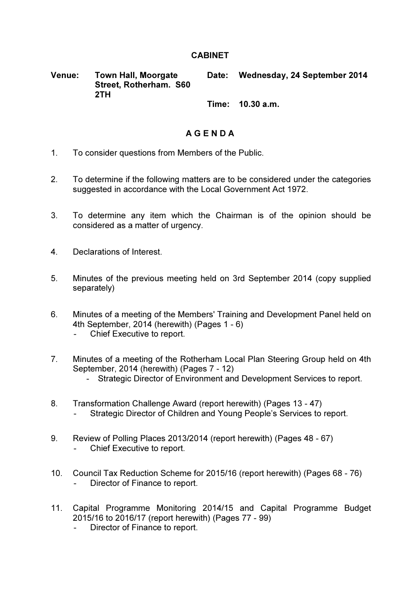## **CABINET**

Venue: Town Hall, Moorgate Street, Rotherham. S60 2TH Date: Wednesday, 24 September 2014 Time: 10.30 a.m.

## A G E N D A

- 1. To consider questions from Members of the Public.
- 2. To determine if the following matters are to be considered under the categories suggested in accordance with the Local Government Act 1972.
- 3. To determine any item which the Chairman is of the opinion should be considered as a matter of urgency.
- 4. Declarations of Interest.
- 5. Minutes of the previous meeting held on 3rd September 2014 (copy supplied separately)
- 6. Minutes of a meeting of the Members' Training and Development Panel held on 4th September, 2014 (herewith) (Pages 1 - 6)
	- Chief Executive to report.
- 7. Minutes of a meeting of the Rotherham Local Plan Steering Group held on 4th September, 2014 (herewith) (Pages 7 - 12)
	- Strategic Director of Environment and Development Services to report.
- 8. Transformation Challenge Award (report herewith) (Pages 13 47) - Strategic Director of Children and Young People's Services to report.
- 9. Review of Polling Places 2013/2014 (report herewith) (Pages 48 67) Chief Executive to report.
- 10. Council Tax Reduction Scheme for 2015/16 (report herewith) (Pages 68 76) Director of Finance to report.
- 11. Capital Programme Monitoring 2014/15 and Capital Programme Budget 2015/16 to 2016/17 (report herewith) (Pages 77 - 99)
	- Director of Finance to report.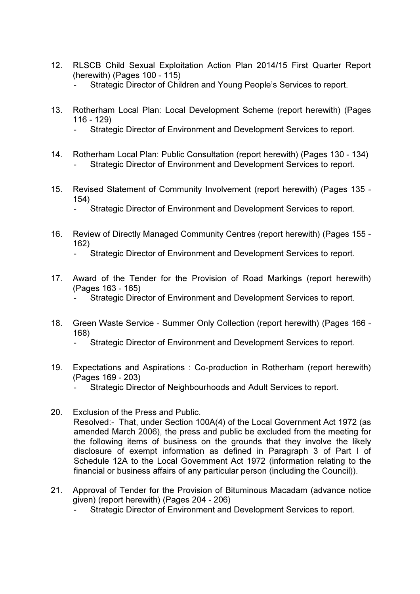- 12. RLSCB Child Sexual Exploitation Action Plan 2014/15 First Quarter Report (herewith) (Pages 100 - 115)
	- Strategic Director of Children and Young People's Services to report.
- 13. Rotherham Local Plan: Local Development Scheme (report herewith) (Pages 116 - 129)
	- Strategic Director of Environment and Development Services to report.
- 14. Rotherham Local Plan: Public Consultation (report herewith) (Pages 130 134) Strategic Director of Environment and Development Services to report.
- 15. Revised Statement of Community Involvement (report herewith) (Pages 135 154)
	- Strategic Director of Environment and Development Services to report.
- 16. Review of Directly Managed Community Centres (report herewith) (Pages 155 162)
	- Strategic Director of Environment and Development Services to report.
- 17. Award of the Tender for the Provision of Road Markings (report herewith) (Pages 163 - 165)
	- Strategic Director of Environment and Development Services to report.
- 18. Green Waste Service Summer Only Collection (report herewith) (Pages 166 168)
	- Strategic Director of Environment and Development Services to report.
- 19. Expectations and Aspirations : Co-production in Rotherham (report herewith) (Pages 169 - 203)
	- Strategic Director of Neighbourhoods and Adult Services to report.
- 20. Exclusion of the Press and Public.

Resolved:- That, under Section 100A(4) of the Local Government Act 1972 (as amended March 2006), the press and public be excluded from the meeting for the following items of business on the grounds that they involve the likely disclosure of exempt information as defined in Paragraph 3 of Part I of Schedule 12A to the Local Government Act 1972 (information relating to the financial or business affairs of any particular person (including the Council)).

- 21. Approval of Tender for the Provision of Bituminous Macadam (advance notice given) (report herewith) (Pages 204 - 206)
	- Strategic Director of Environment and Development Services to report.